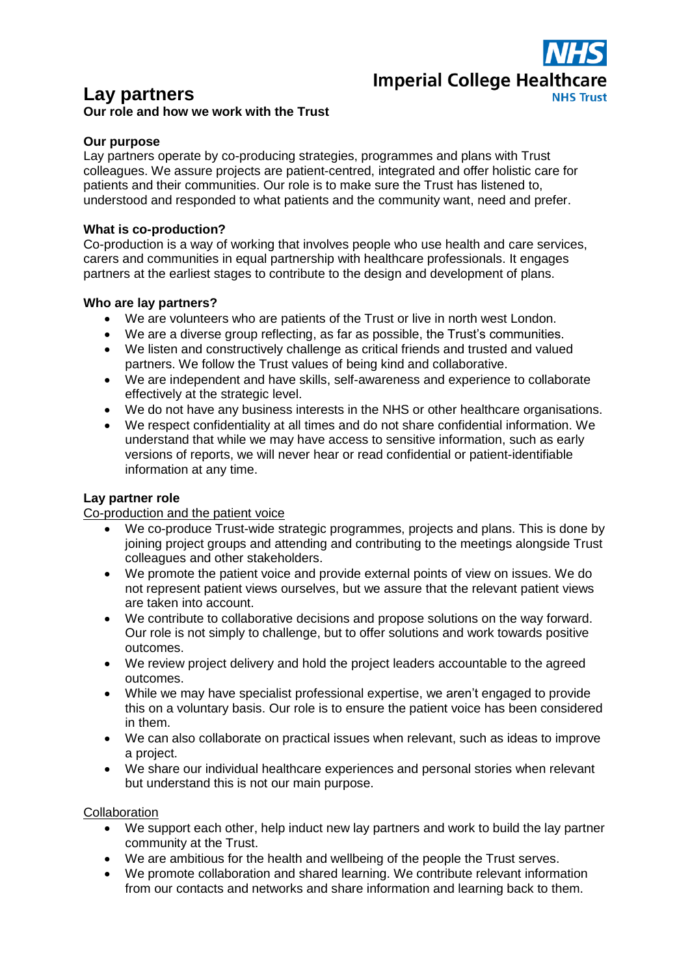

# **Lay partners**

# **Our role and how we work with the Trust**

### **Our purpose**

Lay partners operate by co-producing strategies, programmes and plans with Trust colleagues. We assure projects are patient-centred, integrated and offer holistic care for patients and their communities. Our role is to make sure the Trust has listened to, understood and responded to what patients and the community want, need and prefer.

#### **What is co-production?**

Co-production is a way of working that involves people who use health and care services, carers and communities in equal partnership with healthcare professionals. It engages partners at the earliest stages to contribute to the design and development of plans.

#### **Who are lay partners?**

- We are volunteers who are patients of the Trust or live in north west London.
- We are a diverse group reflecting, as far as possible, the Trust's communities.
- We listen and constructively challenge as critical friends and trusted and valued partners. We follow the Trust values of being kind and collaborative.
- We are independent and have skills, self-awareness and experience to collaborate effectively at the strategic level.
- We do not have any business interests in the NHS or other healthcare organisations.
- We respect confidentiality at all times and do not share confidential information. We understand that while we may have access to sensitive information, such as early versions of reports, we will never hear or read confidential or patient-identifiable information at any time.

## **Lay partner role**

#### Co-production and the patient voice

- We co-produce Trust-wide strategic programmes, projects and plans. This is done by joining project groups and attending and contributing to the meetings alongside Trust colleagues and other stakeholders.
- We promote the patient voice and provide external points of view on issues. We do not represent patient views ourselves, but we assure that the relevant patient views are taken into account.
- We contribute to collaborative decisions and propose solutions on the way forward. Our role is not simply to challenge, but to offer solutions and work towards positive outcomes.
- We review project delivery and hold the project leaders accountable to the agreed outcomes.
- While we may have specialist professional expertise, we aren't engaged to provide this on a voluntary basis. Our role is to ensure the patient voice has been considered in them.
- We can also collaborate on practical issues when relevant, such as ideas to improve a project.
- We share our individual healthcare experiences and personal stories when relevant but understand this is not our main purpose.

#### **Collaboration**

- We support each other, help induct new lay partners and work to build the lay partner community at the Trust.
- We are ambitious for the health and wellbeing of the people the Trust serves.
- We promote collaboration and shared learning. We contribute relevant information from our contacts and networks and share information and learning back to them.